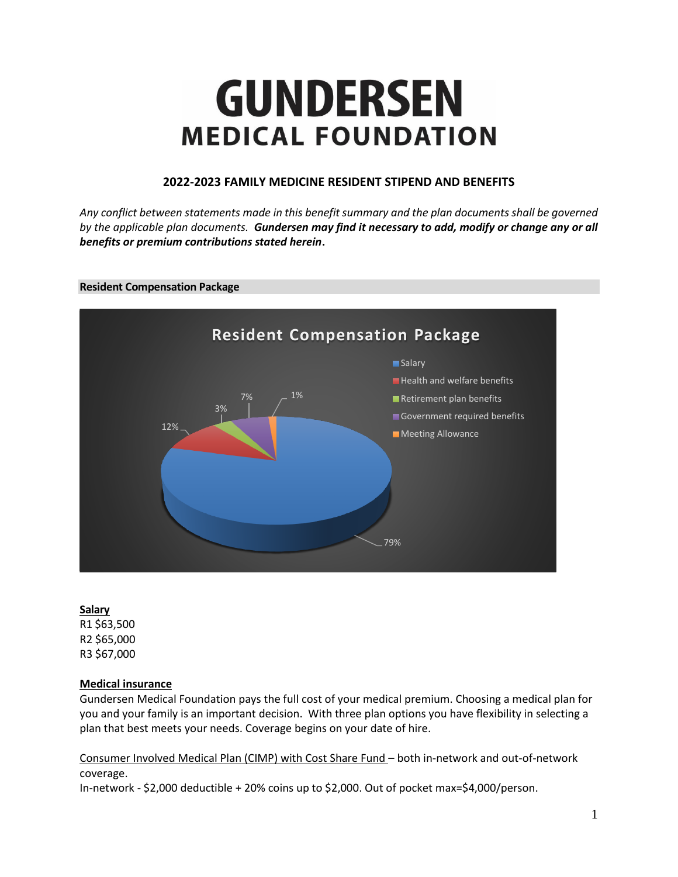# **GUNDERSEN MEDICAL FOUNDATION**

# **2022-2023 FAMILY MEDICINE RESIDENT STIPEND AND BENEFITS**

*Any conflict between statements made in this benefit summary and the plan documents shall be governed by the applicable plan documents. Gundersen may find it necessary to add, modify or change any or all benefits or premium contributions stated herein***.**

# **Resident Compensation Package**



# **Salary**

R1 \$63,500 R2 \$65,000 R3 \$67,000

# **Medical insurance**

Gundersen Medical Foundation pays the full cost of your medical premium. Choosing a medical plan for you and your family is an important decision. With three plan options you have flexibility in selecting a plan that best meets your needs. Coverage begins on your date of hire.

Consumer Involved Medical Plan (CIMP) with Cost Share Fund – both in-network and out-of-network coverage.

In-network - \$2,000 deductible + 20% coins up to \$2,000. Out of pocket max=\$4,000/person.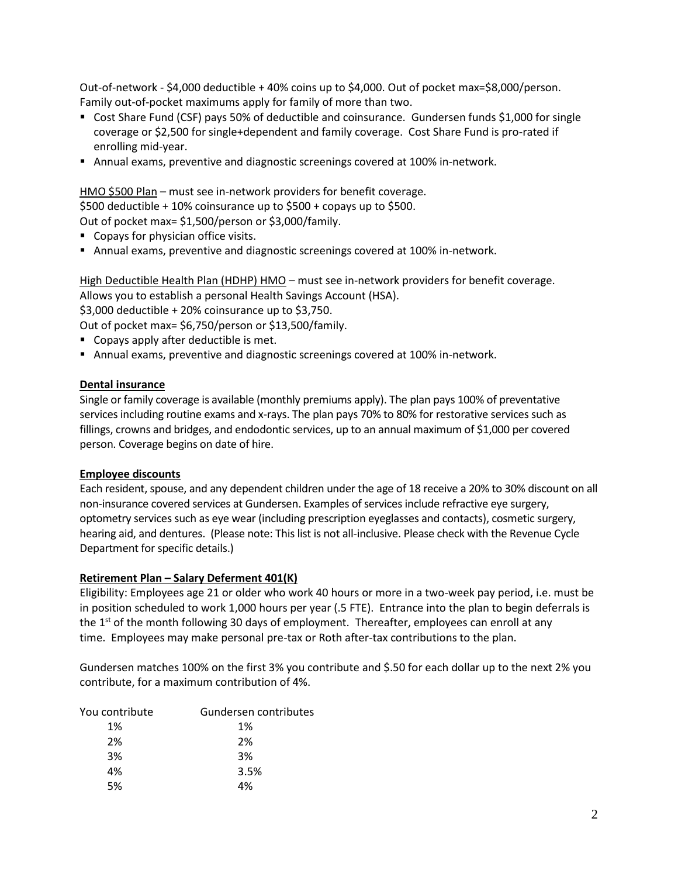Out-of-network - \$4,000 deductible + 40% coins up to \$4,000. Out of pocket max=\$8,000/person. Family out-of-pocket maximums apply for family of more than two.

- Cost Share Fund (CSF) pays 50% of deductible and coinsurance. Gundersen funds \$1,000 for single coverage or \$2,500 for single+dependent and family coverage. Cost Share Fund is pro-rated if enrolling mid-year.
- Annual exams, preventive and diagnostic screenings covered at 100% in-network.

# HMO \$500 Plan – must see in-network providers for benefit coverage.

\$500 deductible + 10% coinsurance up to \$500 + copays up to \$500.

Out of pocket max= \$1,500/person or \$3,000/family.

- Copays for physician office visits.
- **EXALGO EXAMS, preventive and diagnostic screenings covered at 100% in-network.**

High Deductible Health Plan (HDHP) HMO - must see in-network providers for benefit coverage. Allows you to establish a personal Health Savings Account (HSA). \$3,000 deductible + 20% coinsurance up to \$3,750.

Out of pocket max= \$6,750/person or \$13,500/family.

- Copays apply after deductible is met.
- **EXALGO EXAMS, preventive and diagnostic screenings covered at 100% in-network.**

# **Dental insurance**

Single or family coverage is available (monthly premiums apply). The plan pays 100% of preventative services including routine exams and x-rays. The plan pays 70% to 80% for restorative services such as fillings, crowns and bridges, and endodontic services, up to an annual maximum of \$1,000 per covered person. Coverage begins on date of hire.

# **Employee discounts**

Each resident, spouse, and any dependent children under the age of 18 receive a 20% to 30% discount on all non-insurance covered services at Gundersen. Examples of services include refractive eye surgery, optometry services such as eye wear (including prescription eyeglasses and contacts), cosmetic surgery, hearing aid, and dentures. (Please note: This list is not all-inclusive. Please check with the Revenue Cycle Department for specific details.)

# **Retirement Plan – Salary Deferment 401(K)**

Eligibility: Employees age 21 or older who work 40 hours or more in a two-week pay period, i.e. must be in position scheduled to work 1,000 hours per year (.5 FTE). Entrance into the plan to begin deferrals is the  $1<sup>st</sup>$  of the month following 30 days of employment. Thereafter, employees can enroll at any time. Employees may make personal pre-tax or Roth after-tax contributions to the plan.

Gundersen matches 100% on the first 3% you contribute and \$.50 for each dollar up to the next 2% you contribute, for a maximum contribution of 4%.

| You contribute | Gundersen contributes |
|----------------|-----------------------|
| 1%             | 1%                    |
| 2%             | 2%                    |
| 3%             | 3%                    |
| 4%             | 3.5%                  |
| 5%             | 4%                    |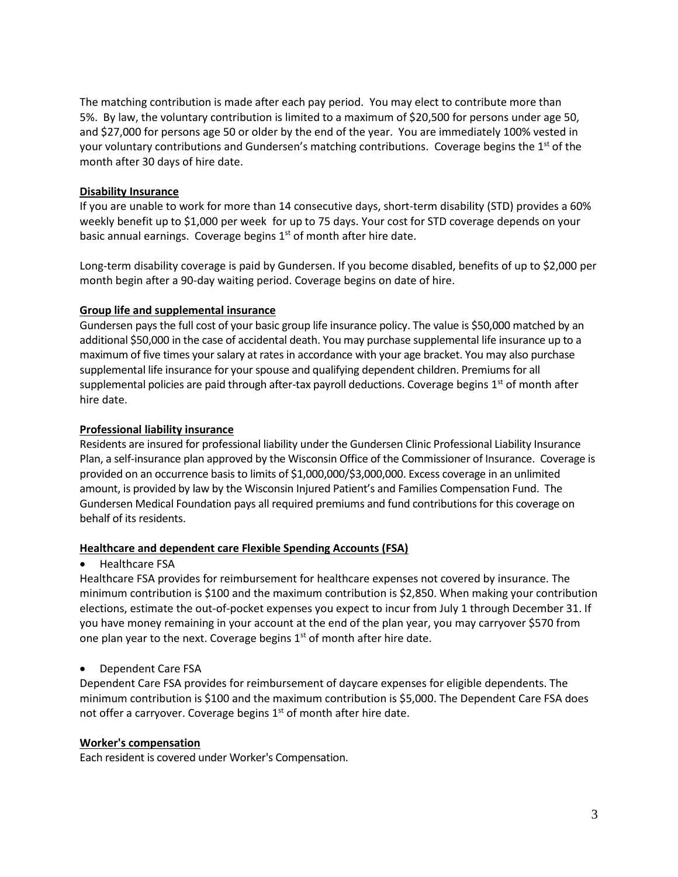The matching contribution is made after each pay period. You may elect to contribute more than 5%. By law, the voluntary contribution is limited to a maximum of \$20,500 for persons under age 50, and \$27,000 for persons age 50 or older by the end of the year. You are immediately 100% vested in your voluntary contributions and Gundersen's matching contributions. Coverage begins the  $1<sup>st</sup>$  of the month after 30 days of hire date.

# **Disability Insurance**

If you are unable to work for more than 14 consecutive days, short-term disability (STD) provides a 60% weekly benefit up to \$1,000 per week for up to 75 days. Your cost for STD coverage depends on your basic annual earnings. Coverage begins  $1<sup>st</sup>$  of month after hire date.

Long-term disability coverage is paid by Gundersen. If you become disabled, benefits of up to \$2,000 per month begin after a 90-day waiting period. Coverage begins on date of hire.

# **Group life and supplemental insurance**

Gundersen pays the full cost of your basic group life insurance policy. The value is \$50,000 matched by an additional \$50,000 in the case of accidental death. You may purchase supplemental life insurance up to a maximum of five times your salary at rates in accordance with your age bracket. You may also purchase supplemental life insurance for your spouse and qualifying dependent children. Premiums for all supplemental policies are paid through after-tax payroll deductions. Coverage begins  $1<sup>st</sup>$  of month after hire date.

# **Professional liability insurance**

Residents are insured for professional liability under the Gundersen Clinic Professional Liability Insurance Plan, a self-insurance plan approved by the Wisconsin Office of the Commissioner of Insurance. Coverage is provided on an occurrence basis to limits of \$1,000,000/\$3,000,000. Excess coverage in an unlimited amount, is provided by law by the Wisconsin Injured Patient's and Families Compensation Fund. The Gundersen Medical Foundation pays all required premiums and fund contributions for this coverage on behalf of its residents.

# **Healthcare and dependent care Flexible Spending Accounts (FSA)**

# • Healthcare FSA

Healthcare FSA provides for reimbursement for healthcare expenses not covered by insurance. The minimum contribution is \$100 and the maximum contribution is \$2,850. When making your contribution elections, estimate the out-of-pocket expenses you expect to incur from July 1 through December 31. If you have money remaining in your account at the end of the plan year, you may carryover \$570 from one plan year to the next. Coverage begins  $1<sup>st</sup>$  of month after hire date.

# • Dependent Care FSA

Dependent Care FSA provides for reimbursement of daycare expenses for eligible dependents. The minimum contribution is \$100 and the maximum contribution is \$5,000. The Dependent Care FSA does not offer a carryover. Coverage begins  $1<sup>st</sup>$  of month after hire date.

# **Worker's compensation**

Each resident is covered under Worker's Compensation.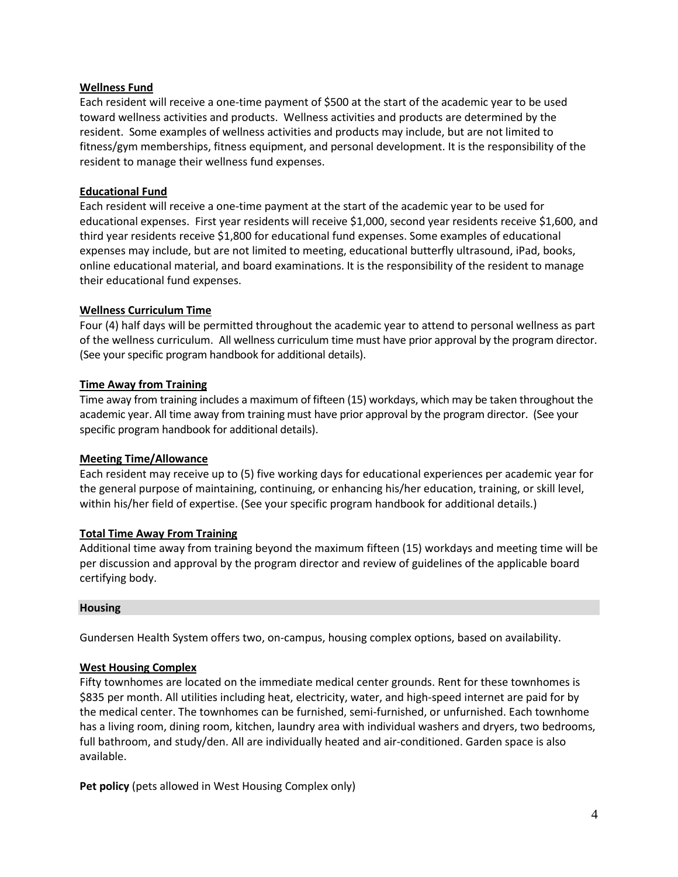# **Wellness Fund**

Each resident will receive a one-time payment of \$500 at the start of the academic year to be used toward wellness activities and products. Wellness activities and products are determined by the resident. Some examples of wellness activities and products may include, but are not limited to fitness/gym memberships, fitness equipment, and personal development. It is the responsibility of the resident to manage their wellness fund expenses.

# **Educational Fund**

Each resident will receive a one-time payment at the start of the academic year to be used for educational expenses. First year residents will receive \$1,000, second year residents receive \$1,600, and third year residents receive \$1,800 for educational fund expenses. Some examples of educational expenses may include, but are not limited to meeting, educational butterfly ultrasound, iPad, books, online educational material, and board examinations. It is the responsibility of the resident to manage their educational fund expenses.

#### **Wellness Curriculum Time**

Four (4) half days will be permitted throughout the academic year to attend to personal wellness as part of the wellness curriculum. All wellness curriculum time must have prior approval by the program director. (See your specific program handbook for additional details).

#### **Time Away from Training**

Time away from training includes a maximum of fifteen (15) workdays, which may be taken throughout the academic year. All time away from training must have prior approval by the program director. (See your specific program handbook for additional details).

#### **Meeting Time/Allowance**

Each resident may receive up to (5) five working days for educational experiences per academic year for the general purpose of maintaining, continuing, or enhancing his/her education, training, or skill level, within his/her field of expertise. (See your specific program handbook for additional details.)

# **Total Time Away From Training**

Additional time away from training beyond the maximum fifteen (15) workdays and meeting time will be per discussion and approval by the program director and review of guidelines of the applicable board certifying body.

#### **Housing**

Gundersen Health System offers two, on-campus, housing complex options, based on availability.

#### **West Housing Complex**

Fifty townhomes are located on the immediate medical center grounds. Rent for these townhomes is \$835 per month. All utilities including heat, electricity, water, and high-speed internet are paid for by the medical center. The townhomes can be furnished, semi-furnished, or unfurnished. Each townhome has a living room, dining room, kitchen, laundry area with individual washers and dryers, two bedrooms, full bathroom, and study/den. All are individually heated and air-conditioned. Garden space is also available.

Pet policy (pets allowed in West Housing Complex only)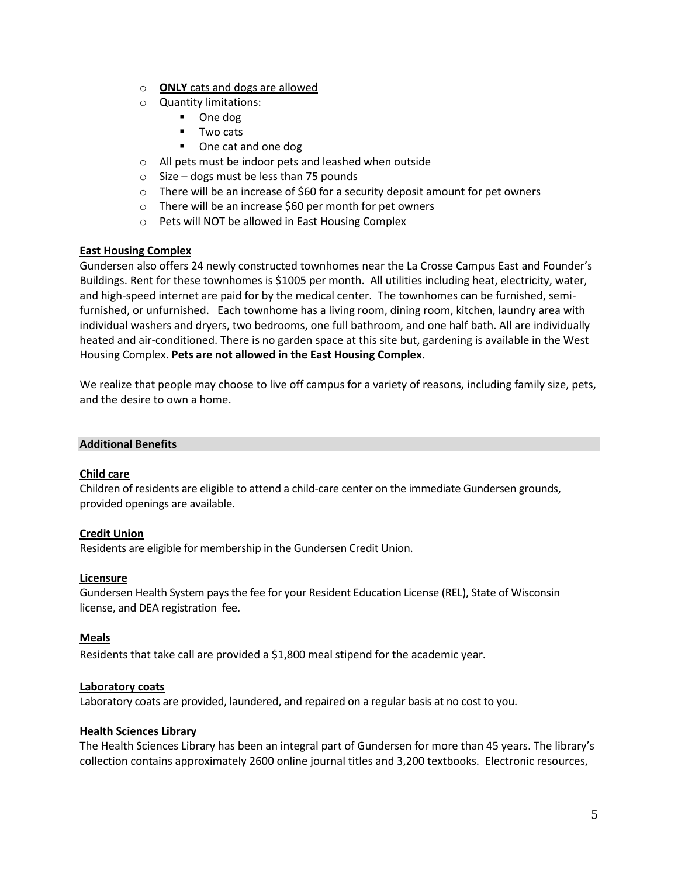- o **ONLY** cats and dogs are allowed
- o Quantity limitations:
	- One dog
	- Two cats
	- One cat and one dog
- o All pets must be indoor pets and leashed when outside
- o Size dogs must be less than 75 pounds
- $\circ$  There will be an increase of \$60 for a security deposit amount for pet owners
- o There will be an increase \$60 per month for pet owners
- o Pets will NOT be allowed in East Housing Complex

# **East Housing Complex**

Gundersen also offers 24 newly constructed townhomes near the La Crosse Campus East and Founder's Buildings. Rent for these townhomes is \$1005 per month. All utilities including heat, electricity, water, and high-speed internet are paid for by the medical center. The townhomes can be furnished, semifurnished, or unfurnished. Each townhome has a living room, dining room, kitchen, laundry area with individual washers and dryers, two bedrooms, one full bathroom, and one half bath. All are individually heated and air-conditioned. There is no garden space at this site but, gardening is available in the West Housing Complex. **Pets are not allowed in the East Housing Complex.**

We realize that people may choose to live off campus for a variety of reasons, including family size, pets, and the desire to own a home.

# **Additional Benefits**

# **Child care**

Children of residents are eligible to attend a child-care center on the immediate Gundersen grounds, provided openings are available.

# **Credit Union**

Residents are eligible for membership in the Gundersen Credit Union.

# **Licensure**

Gundersen Health System pays the fee for your Resident Education License (REL), State of Wisconsin license, and DEA registration fee.

# **Meals**

Residents that take call are provided a \$1,800 meal stipend for the academic year.

#### **Laboratory coats**

Laboratory coats are provided, laundered, and repaired on a regular basis at no cost to you.

# **Health Sciences Library**

The Health Sciences Library has been an integral part of Gundersen for more than 45 years. The library's collection contains approximately 2600 online journal titles and 3,200 textbooks. Electronic resources,